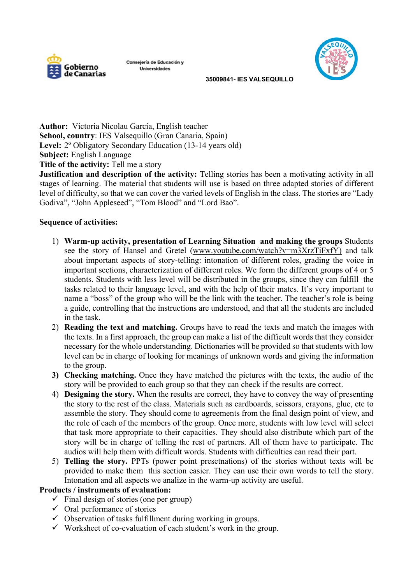

Consejería de Educación y Universidades



 **35009841- IES VALSEQUILLO** 

**Author:** Victoria Nicolau García, English teacher **School, country**: IES Valsequillo (Gran Canaria, Spain) Level: 2<sup>°</sup> Obligatory Secondary Education (13-14 years old) **Subject:** English Language **Title of the activity: Tell me a story** 

**Justification and description of the activity:** Telling stories has been a motivating activity in all stages of learning. The material that students will use is based on three adapted stories of different level of difficulty, so that we can cover the varied levels of English in the class. The stories are "Lady Godiva", "John Appleseed", "Tom Blood" and "Lord Bao".

## **Sequence of activities:**

- 1) **Warm-up activity, presentation of Learning Situation and making the groups** Students see the story of Hansel and Gretel (www.youtube.com/watch?v=m3XrzTiFxfY) and talk about important aspects of story-telling: intonation of different roles, grading the voice in important sections, characterization of different roles. We form the different groups of 4 or 5 students. Students with less level will be distributed in the groups, since they can fulfill the tasks related to their language level, and with the help of their mates. It's very important to name a "boss" of the group who will be the link with the teacher. The teacher's role is being a guide, controlling that the instructions are understood, and that all the students are included in the task.
- 2) **Reading the text and matching.** Groups have to read the texts and match the images with the texts. In a first approach, the group can make a list of the difficult words that they consider necessary for the whole understanding. Dictionaries will be provided so that students with low level can be in charge of looking for meanings of unknown words and giving the information to the group.
- **3) Checking matching.** Once they have matched the pictures with the texts, the audio of the story will be provided to each group so that they can check if the results are correct.
- 4) **Designing the story.** When the results are correct, they have to convey the way of presenting the story to the rest of the class. Materials such as cardboards, scissors, crayons, glue, etc to assemble the story. They should come to agreements from the final design point of view, and the role of each of the members of the group. Once more, students with low level will select that task more appropriate to their capacities. They should also distribute which part of the story will be in charge of telling the rest of partners. All of them have to participate. The audios will help them with difficult words. Students with difficulties can read their part.
- 5) **Telling the story.** PPTs (power point presetnations) of the stories without texts will be provided to make them this section easier. They can use their own words to tell the story. Intonation and all aspects we analize in the warm-up activity are useful.

## **Products / instruments of evaluation:**

- $\checkmark$  Final design of stories (one per group)
- $\checkmark$  Oral performance of stories
- $\checkmark$  Observation of tasks fulfillment during working in groups.
- $\checkmark$  Worksheet of co-evaluation of each student's work in the group.